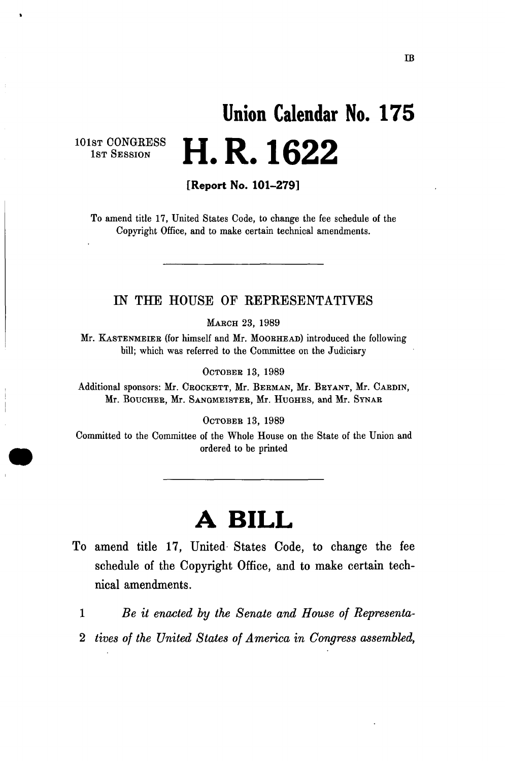# **Union Calendar No. 17 5 H.R.1622**

101st CONGRESS 1ST SESSION

[Report No. 101-279]

To amend title 17, United States Code, to change the fee schedule of the Copyright Office, and to make certain technical amendments.

#### IN THE HOUSE OF REPRESENTATIVES

MARCH 23, 1989

Mr. KASTENMEIEB (for himself and Mr. MOORHEAD) introduced the following bill; which was referred to the Committee on the Judiciary

OCTOBER 13, 1989

Additional sponsors: Mr. CROCKETT, Mr. BERMAN, Mr. BRYANT, Mr. CARDIN, Mr. BOUCHER, Mr. SANGMEISTER, Mr. HUGHES, and Mr. SYNAR

OCTOBER 13, 1989

Committed to the Committee of the Whole House on the State of the Union and ordered to be printed

## **A BILL**

- To amend title 17, United States Code, to change the fee schedule of the Copyright Office, and to make certain technical amendments.
	- 1 *Be it enacted by the Senate and House of Representa-*
	- 2 *tives of the United States of America in Congress assembled,*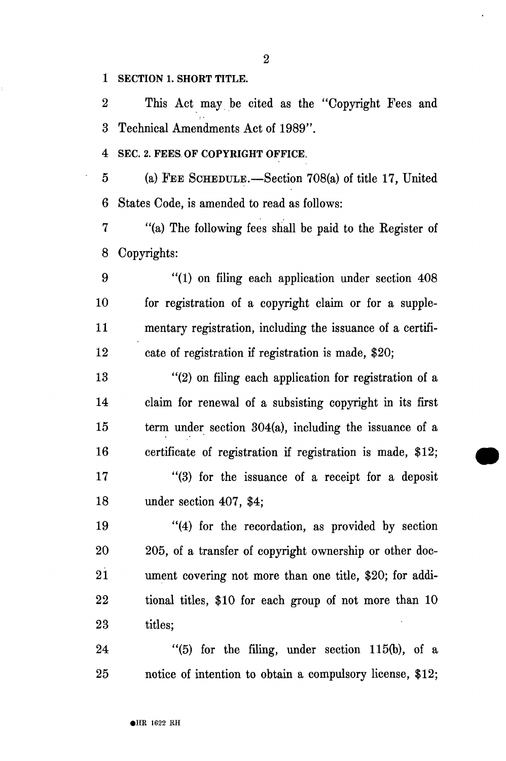1 SECTION 1. SHORT TITLE.

2 This Act may be cited as the "Copyright Fees and 3 Technical Amendments Act of 1989".

4 SEC. 2. FEES OF COPYRIGHT OFFICE.

5 (a) FEE SCHEDULE.—Section 708(a) of title 17, United 6 States Code, is amended to read as follows:

7 "(a) The following fees shall be paid to the Kegister of 8 Copyrights:

9 "(1) on filing each application under section 408 10 for registration of a copyright claim or for a supple-11 mentary registration, including the issuance of a certifi-12 cate of registration if registration is made, \$20;

13 "(2) on filing each application for registration of a 14 claim for renewal of a subsisting copyright in its first 15 term under section 304(a), including the issuance of a 16 certificate of registration if registration is made, \$12; 17 "(3) for the issuance of a receipt for a deposit 18 under section 407, \$4;

19 "(4) for the recordation, as provided by section 20 205, of a transfer of copyright ownership or other doc-21 ument covering not more than one title, \$20; for addi-22 tional titles, \$10 for each group of not more than 10 23 titles;

24 "(5) for the filing, under section 115(b), of a 25 notice of intention to obtain a compulsory license, \$12;

2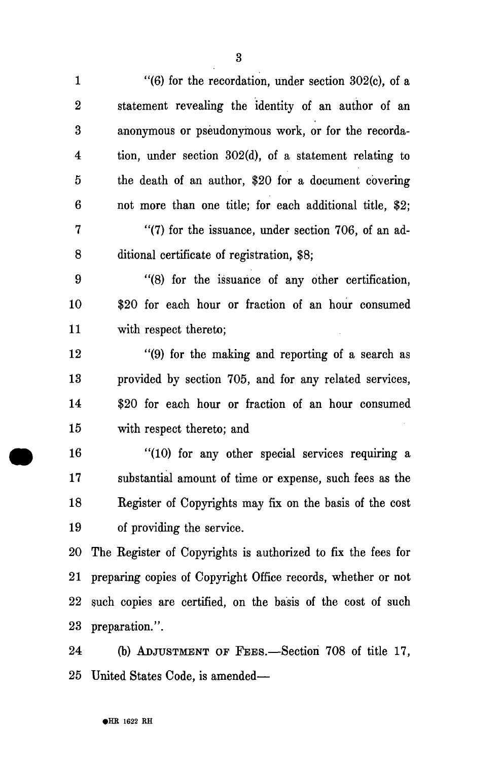1  $\frac{1}{6}$  (6) for the recordation, under section 302(c), of a 2 statement revealing the identity of an author of an 3 anonymous or pseudonymous work, or for the recorda-4 tion, under section 302(d), of a statement relating to 5 the death of an author, \$20 for a document covering 6 not more than one title; for each additional title, \$2; 7 "(7) for the issuance, under section 706, of an ad-8 ditional certificate of registration, \$8; 9 "(8) for the issuance of any other certification, 10 \$20 for each hour or fraction of an hour consumed 11 with respect thereto; 12 "(9) for the making and reporting of a search as 13 provided by section 705, and for any related services, 14 \$20 for each hour or fraction of an hour consumed 15 with respect thereto; and

16 "(10) for any other special services requiring a 17 substantial amount of time or expense, such fees as the 18 Register of Copyrights may fix on the basis of the cost 19 of providing the service.

20 The Register of Copyrights is authorized to fix the fees for 21 preparing copies of Copyright Office records, whether or not 22 such copies are certified, on the basis of the cost of such 23 preparation.".

24 (b) ADJUSTMENT OF FEES.—Section 708 of title 17, 25 United States Code, is amended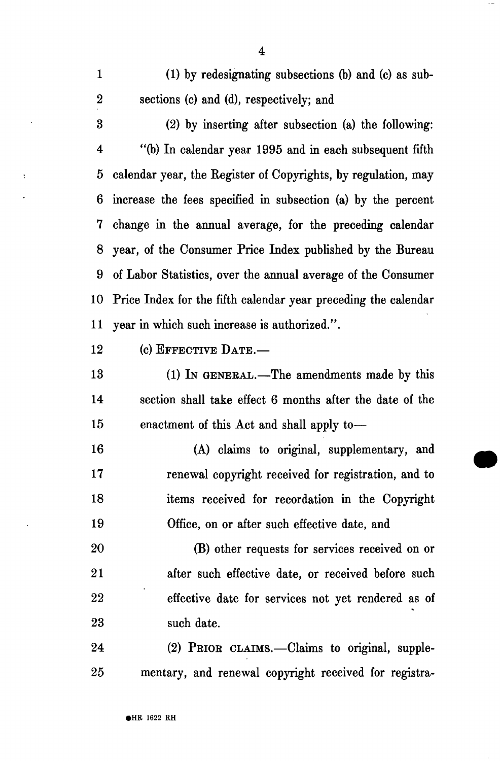1 (1) by redesignating subsections (b) and (c) as sub-2 sections (c) and (d), respectively; and

3 (2) by inserting after subsection (a) the following: 4 "(b) In calendar year 1995 and in each subsequent fifth 5 calendar year, the Register of Copyrights, by regulation, may 6 increase the fees specified in subsection (a) by the percent 7 change in the annual average, for the preceding calendar 8 year, of the Consumer Price Index published by the Bureau 9 of Labor Statistics, over the annual average of the Consumer 10 Price Index for the fifth calendar year preceding the calendar 11 year in which such increase is authorized.".

12 (c) EFFECTIVE DATE.—

 $\ddot{\phantom{a}}$ 

13 (1) In GENERAL.—The amendments made by this 14 section shall take effect 6 months after the date of the 15 enactment of this Act and shall apply to—

16 (A) claims to original, supplementary, and 17 renewal copyright received for registration, and to 18 items received for recordation in the Copyright 19 Office, on or after such effective date, and

20 (B) other requests for services received on or 21 after such effective date, or received before such 22 effective date for services not yet rendered as of 23 such date.

24 (2) PEIOE CLAIMS.—Claims to original, supple-25 mentary, and renewal copyright received for registra-

4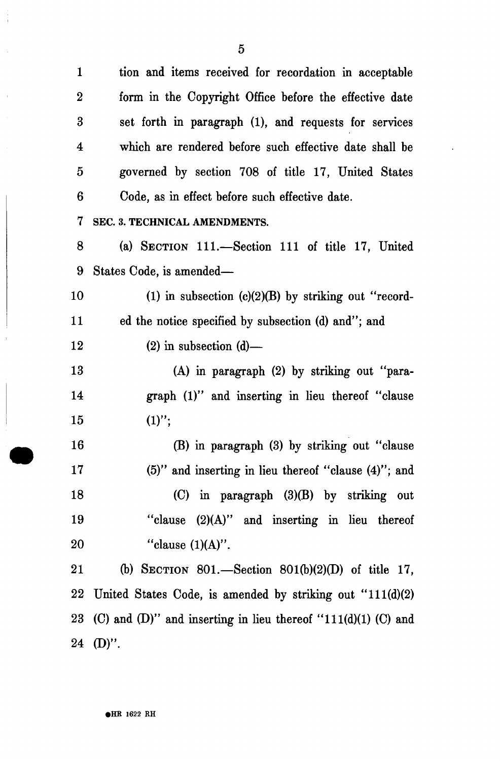5

.

 $\frac{1}{4}$ 

 $\bar{1}$ 

| $\mathbf{1}$            | tion and items received for recordation in acceptable            |
|-------------------------|------------------------------------------------------------------|
| $\boldsymbol{2}$        | form in the Copyright Office before the effective date           |
| 3                       | set forth in paragraph (1), and requests for services            |
| $\overline{\mathbf{4}}$ | which are rendered before such effective date shall be           |
| $\overline{5}$          | governed by section 708 of title 17, United States               |
| 6                       | Code, as in effect before such effective date.                   |
| 7                       | SEC. 3. TECHNICAL AMENDMENTS.                                    |
| 8                       | (a) SECTION 111.—Section 111 of title 17, United                 |
| 9                       | States Code, is amended—                                         |
| 10                      | (1) in subsection $(c)(2)(B)$ by striking out "record-           |
| 11                      | ed the notice specified by subsection (d) and"; and              |
| 12                      | $(2)$ in subsection $(d)$ —                                      |
| 13                      | (A) in paragraph (2) by striking out "para-                      |
| 14                      | graph (1)" and inserting in lieu thereof "clause                 |
| 15                      | $(1)$ ";                                                         |
| 16                      | (B) in paragraph (3) by striking out "clause                     |
| 17                      | $(5)$ " and inserting in lieu thereof "clause $(4)$ "; and       |
| 18                      | $(C)$ in paragraph $(3)(B)$ by striking out                      |
| 19                      | "clause $(2)(A)$ " and inserting in lieu thereof                 |
| 20                      | "clause $(1)(A)$ ".                                              |
| 21                      | (b) SECTION 801.—Section 801(b)(2)(D) of title 17,               |
| 22                      | United States Code, is amended by striking out $"111(d)(2)$      |
| 23                      | (C) and (D)" and inserting in lieu thereof " $111(d)(1)$ (C) and |
|                         | $24$ (D)".                                                       |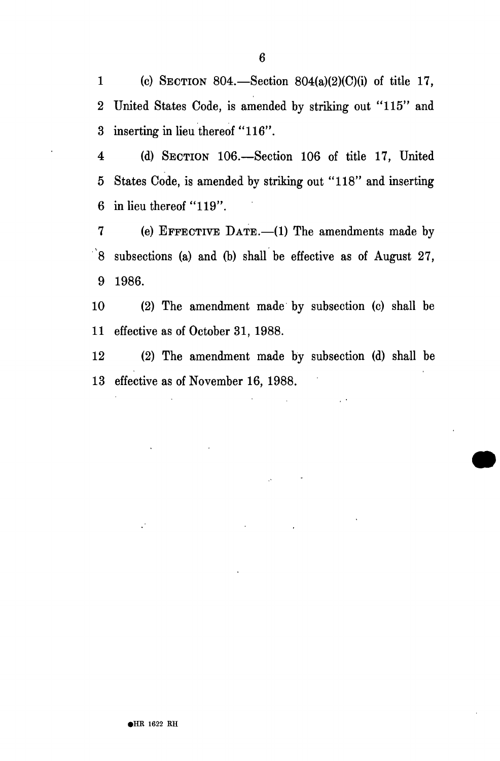1 (c) SECTION 804.—Section 804(a)(2)(C)(i) of title 17, 2 United States Code, is amended by striking out "115" and 3 inserting in lieu thereof "116".

4 (d) SECTION 106.—Section 106 of title 17, United 5 States Code, is amended by striking out "118" and inserting 6 in lieu thereof "119".

7 (e) EFFECTIVE DATE.—(1) The amendments made by  $\dot{8}$  subsections (a) and (b) shall be effective as of August 27, 9 1986.

10 (2) The amendment made by subsection (c) shall be 11 effective as of October 31, 1988.

12 (2) The amendment made by subsection (d) shall be 13 effective as of November 16, 1988.

 $\mathcal{L}$